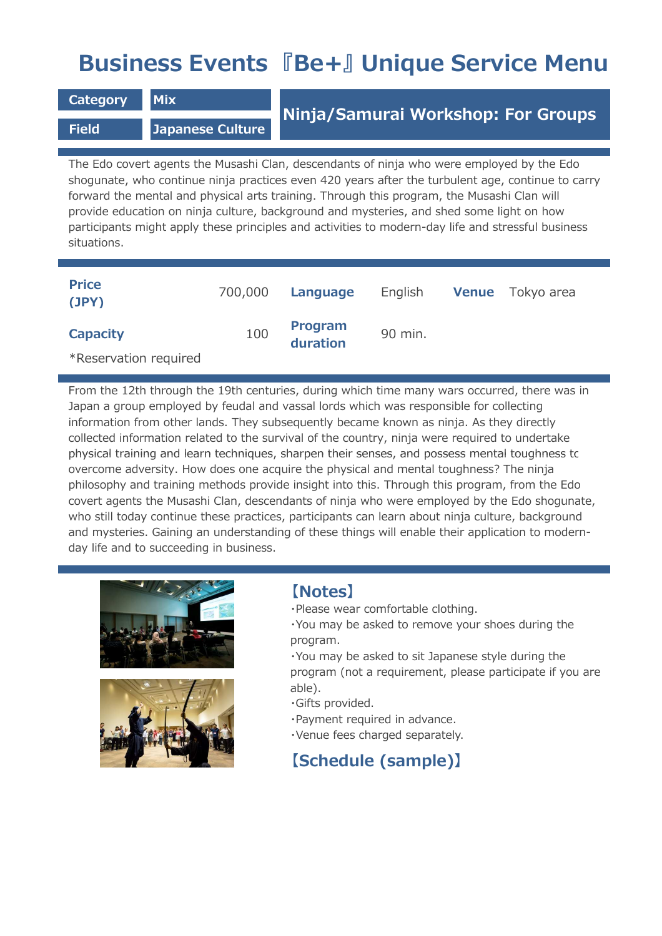# **Business Events 『Be+』 Unique Service Menu**

**Category Mix** 

**Field Japanese Culture**

## **Ninja/Samurai Workshop: For Groups**

The Edo covert agents the Musashi Clan, descendants of ninja who were employed by the Edo shogunate, who continue ninja practices even 420 years after the turbulent age, continue to carry forward the mental and physical arts training. Through this program, the Musashi Clan will provide education on ninja culture, background and mysteries, and shed some light on how participants might apply these principles and activities to modern-day life and stressful business situations.

| <b>Price</b><br>(JPY) | 700,000 | Language                   | English | <b>Venue</b> Tokyo area |
|-----------------------|---------|----------------------------|---------|-------------------------|
| <b>Capacity</b>       | 100     | <b>Program</b><br>duration | 90 min. |                         |
| *Reservation required |         |                            |         |                         |

From the 12th through the 19th centuries, during which time many wars occurred, there was in Japan a group employed by feudal and vassal lords which was responsible for collecting information from other lands. They subsequently became known as ninja. As they directly collected information related to the survival of the country, ninja were required to undertake physical training and learn techniques, sharpen their senses, and possess mental toughness to overcome adversity. How does one acquire the physical and mental toughness? The ninja philosophy and training methods provide insight into this. Through this program, from the Edo covert agents the Musashi Clan, descendants of ninja who were employed by the Edo shogunate, who still today continue these practices, participants can learn about ninja culture, background and mysteries. Gaining an understanding of these things will enable their application to modernday life and to succeeding in business.





#### **【Notes】**

- ・Please wear comfortable clothing.
- ・You may be asked to remove your shoes during the program.

・You may be asked to sit Japanese style during the program (not a requirement, please participate if you are able).

- ・Gifts provided.
- ・Payment required in advance.
- ・Venue fees charged separately.

### **【Schedule (sample)】**